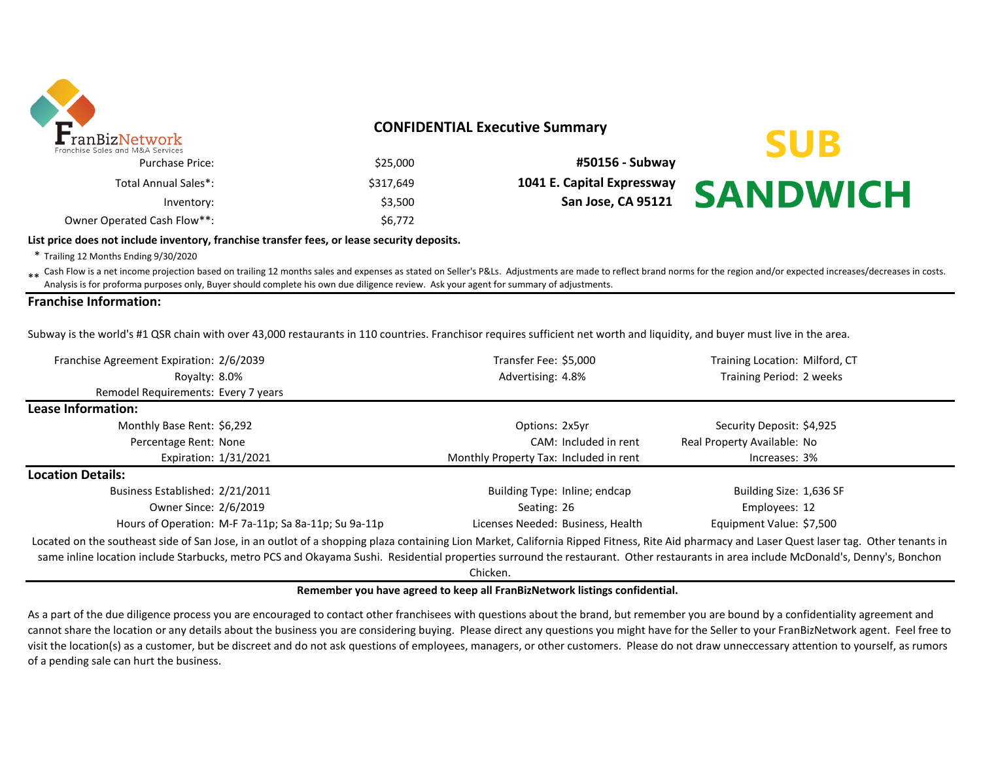

# **CONFIDENTIAL Executive Summary**

| \$25,000  | <b>Purchase Price:</b>      |
|-----------|-----------------------------|
| \$317,649 | Total Annual Sales*:        |
| \$3.500   | Inventory:                  |
| \$6.772   | Owner Operated Cash Flow**: |

\$25,000 **#50156 - Subway** \$317,649 **1041 E. Capital Expressway** Inventory: \$3,500 **San Jose, CA 95121** 

# **SUB SANDWICH**

#### **List price does not include inventory, franchise transfer fees, or lease security deposits.**

\* Trailing 12 Months Ending 9/30/2020

\*\* Cash Flow is a net income projection based on trailing 12 months sales and expenses as stated on Seller's P&Ls. Adjustments are made to reflect brand norms for the region and/or expected increases/decreases in costs. Analysis is for proforma purposes only, Buyer should complete his own due diligence review. Ask your agent for summary of adjustments.

#### **Franchise Information:**

Subway is the world's #1 QSR chain with over 43,000 restaurants in 110 countries. Franchisor requires sufficient net worth and liquidity, and buyer must live in the area.

| Franchise Agreement Expiration: 2/6/2039                                                                                                                                                                                                                                                                                                                                            | Transfer Fee: \$5,000                  | Training Location: Milford, CT |  |  |
|-------------------------------------------------------------------------------------------------------------------------------------------------------------------------------------------------------------------------------------------------------------------------------------------------------------------------------------------------------------------------------------|----------------------------------------|--------------------------------|--|--|
| Royalty: 8.0%                                                                                                                                                                                                                                                                                                                                                                       | Advertising: 4.8%                      | Training Period: 2 weeks       |  |  |
| Remodel Requirements: Every 7 years                                                                                                                                                                                                                                                                                                                                                 |                                        |                                |  |  |
| Lease Information:                                                                                                                                                                                                                                                                                                                                                                  |                                        |                                |  |  |
| Monthly Base Rent: \$6,292                                                                                                                                                                                                                                                                                                                                                          | Options: 2x5yr                         | Security Deposit: \$4,925      |  |  |
| Percentage Rent: None                                                                                                                                                                                                                                                                                                                                                               | CAM: Included in rent                  | Real Property Available: No    |  |  |
| Expiration: 1/31/2021                                                                                                                                                                                                                                                                                                                                                               | Monthly Property Tax: Included in rent | Increases: 3%                  |  |  |
| <b>Location Details:</b>                                                                                                                                                                                                                                                                                                                                                            |                                        |                                |  |  |
| Business Established: 2/21/2011                                                                                                                                                                                                                                                                                                                                                     | Building Type: Inline; endcap          | Building Size: 1,636 SF        |  |  |
| Owner Since: 2/6/2019                                                                                                                                                                                                                                                                                                                                                               | Seating: 26                            | Employees: 12                  |  |  |
| Hours of Operation: M-F 7a-11p; Sa 8a-11p; Su 9a-11p                                                                                                                                                                                                                                                                                                                                | Licenses Needed: Business, Health      | Equipment Value: \$7,500       |  |  |
| Located on the southeast side of San Jose, in an outlot of a shopping plaza containing Lion Market, California Ripped Fitness, Rite Aid pharmacy and Laser Quest laser tag. Other tenants in<br>same inline location include Starbucks, metro PCS and Okayama Sushi. Residential properties surround the restaurant. Other restaurants in area include McDonald's, Denny's, Bonchon |                                        |                                |  |  |

Chicken.

#### **Remember you have agreed to keep all FranBizNetwork listings confidential.**

As a part of the due diligence process you are encouraged to contact other franchisees with questions about the brand, but remember you are bound by a confidentiality agreement and cannot share the location or any details about the business you are considering buying. Please direct any questions you might have for the Seller to your FranBizNetwork agent. Feel free to visit the location(s) as a customer, but be discreet and do not ask questions of employees, managers, or other customers. Please do not draw unneccessary attention to yourself, as rumors of a pending sale can hurt the business.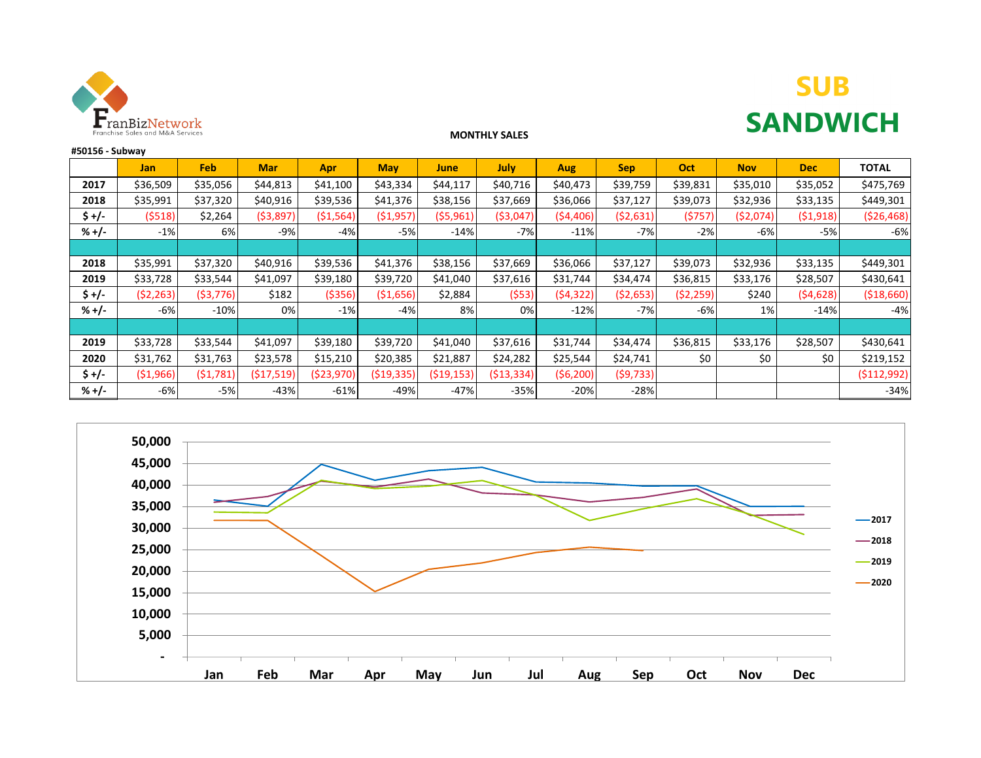

# **SUB SANDWICH**

### **MONTHLY SALES**

| #50156 - Subway |            |            |            |            |              |            |             |            |            |            |            |            |              |
|-----------------|------------|------------|------------|------------|--------------|------------|-------------|------------|------------|------------|------------|------------|--------------|
|                 | <b>Jan</b> | Feb        | <b>Mar</b> | Apr        | <b>May</b>   | June       | <b>July</b> | <b>Aug</b> | <b>Sep</b> | Oct        | <b>Nov</b> | <b>Dec</b> | <b>TOTAL</b> |
| 2017            | \$36,509   | \$35,056   | \$44,813   | \$41,100   | \$43,334     | \$44,117   | \$40,716    | \$40,473   | \$39,759   | \$39,831   | \$35,010   | \$35,052   | \$475,769    |
| 2018            | \$35,991   | \$37,320   | \$40,916   | \$39,536   | \$41,376     | \$38,156   | \$37,669    | \$36,066   | \$37,127   | \$39,073   | \$32,936   | \$33,135   | \$449,301    |
| \$ +/-          | (5518)     | \$2,264    | ( \$3,897) | (51, 564)  | (\$1,957)    | ( \$5,961) | ( \$3,047)  | ( \$4,406) | ( \$2,631) | (5757)     | ( \$2,074) | (51,918)   | ( \$26,468)  |
| $% +/-$         | $-1%$      | 6%         | $-9%$      | $-4%$      | $-5%$        | $-14%$     | $-7%$       | $-11%$     | $-7%$      | $-2%$      | $-6%$      | $-5%$      | $-6%$        |
|                 |            |            |            |            |              |            |             |            |            |            |            |            |              |
| 2018            | \$35,991   | \$37,320   | \$40,916   | \$39,536   | \$41,376     | \$38,156   | \$37,669    | \$36,066   | \$37,127   | \$39,073   | \$32,936   | \$33,135   | \$449,301    |
| 2019            | \$33,728   | \$33,544   | \$41,097   | \$39,180   | \$39,720     | \$41,040   | \$37,616    | \$31,744   | \$34,474   | \$36,815   | \$33,176   | \$28,507   | \$430,641    |
| $s +/-$         | (52, 263)  | ( \$3,776) | \$182      | ( \$356)   | (\$1,656)    | \$2,884    | (553)       | (54, 322)  | ( \$2,653) | ( \$2,259) | \$240      | (54, 628)  | ( \$18,660)  |
| $% +/-$         | -6%        | $-10%$     | 0%         | $-1%$      | -4%          | 8%         | 0%          | $-12%$     | $-7%$      | $-6%$      | 1%         | $-14%$     | $-4%$        |
|                 |            |            |            |            |              |            |             |            |            |            |            |            |              |
| 2019            | \$33,728   | \$33,544   | \$41,097   | \$39,180   | \$39,720     | \$41,040   | \$37,616    | \$31,744   | \$34,474   | \$36,815   | \$33,176   | \$28,507   | \$430,641    |
| 2020            | \$31,762   | \$31,763   | \$23,578   | \$15,210   | \$20,385     | \$21,887   | \$24,282    | \$25,544   | \$24,741   | \$0        | \$0        | \$0        | \$219,152    |
| $5 +/-$         | (51,966)   | (51,781)   | (517,519)  | (\$23,970) | ( \$19, 335) | (\$19,153) | (\$13,334)  | (56,200)   | (59, 733)  |            |            |            | ( \$112,992) |
| $% +/-$         | $-6%$      | $-5%$      | $-43%$     | $-61%$     | $-49%$       | $-47%$     | $-35%$      | $-20%$     | $-28%$     |            |            |            | $-34%$       |